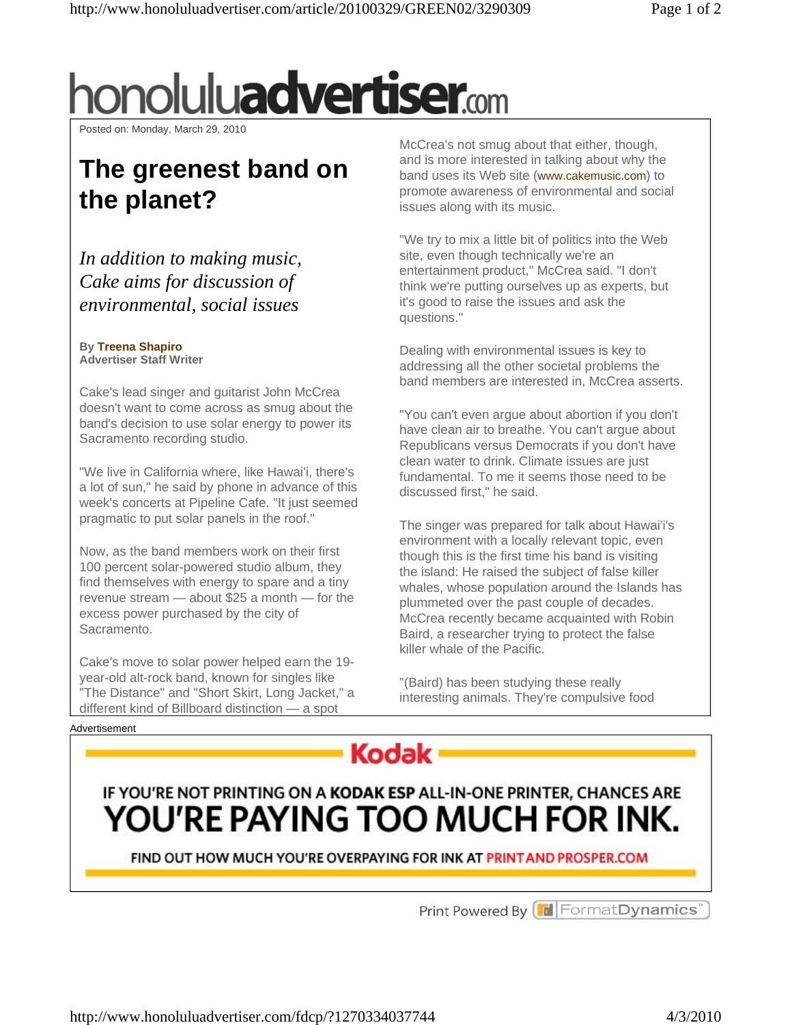# honolulu**advertiser.**com

Posted on: Monday, March 29, 2010

## **The greenest band on the planet?**

*In addition to making music, Cake aims for discussion of environmental, social issues* 

#### **By Treena Shapiro Advertiser Staff Writer**

Cake's lead singer and guitarist John McCrea doesn't want to come across as smug about the band's decision to use solar energy to power its Sacramento recording studio.

"We live in California where, like Hawai'i, there's a lot of sun," he said by phone in advance of this week's concerts at Pipeline Cafe. "It just seemed pragmatic to put solar panels in the roof."

Now, as the band members work on their first 100 percent solar-powered studio album, they find themselves with energy to spare and a tiny revenue stream — about \$25 a month — for the excess power purchased by the city of Sacramento.

Cake's move to solar power helped earn the 19 year-old alt-rock band, known for singles like "The Distance" and "Short Skirt, Long Jacket," a different kind of Billboard distinction — a spot

McCrea's not smug about that either, though, and is more interested in talking about why the band uses its Web site (www.cakemusic.com) to promote awareness of environmental and social issues along with its music.

"We try to mix a little bit of politics into the Web site, even though technically we're an entertainment product," McCrea said. "I don't think we're putting ourselves up as experts, but it's good to raise the issues and ask the questions."

Dealing with environmental issues is key to addressing all the other societal problems the band members are interested in, McCrea asserts.

"You can't even argue about abortion if you don't have clean air to breathe. You can't argue about Republicans versus Democrats if you don't have clean water to drink. Climate issues are just fundamental. To me it seems those need to be discussed first," he said.

The singer was prepared for talk about Hawai'i's environment with a locally relevant topic, even though this is the first time his band is visiting the island: He raised the subject of false killer whales, whose population around the Islands has plummeted over the past couple of decades. McCrea recently became acquainted with Robin Baird, a researcher trying to protect the false killer whale of the Pacific.

"(Baird) has been studying these really interesting animals. They're compulsive food





### IF YOU'RE NOT PRINTING ON A KODAK ESP ALL-IN-ONE PRINTER, CHANCES ARE YOU'RE PAYING TOO MUCH FOR INK.

FIND OUT HOW MUCH YOU'RE OVERPAYING FOR INK AT PRINT AND PROSPER COM

Print Powered By **T** Format Dynamics<sup>'</sup>